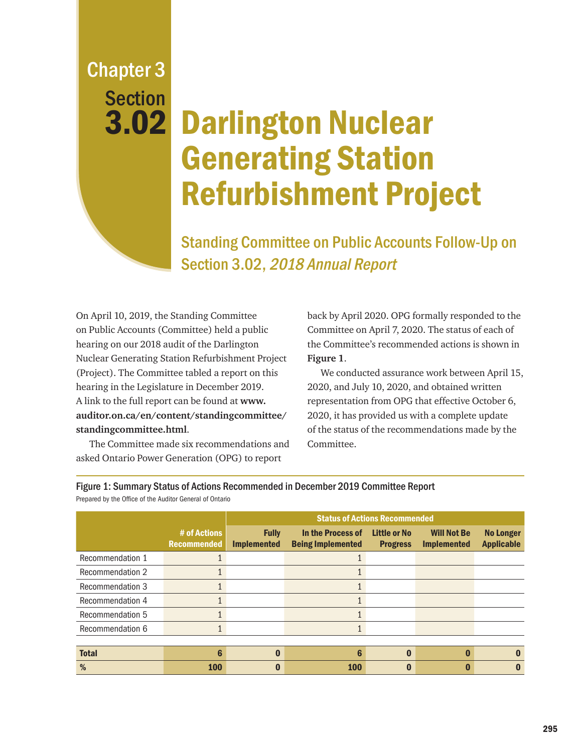## Chapter 3 Section 3.02

# Darlington Nuclear Generating Station Refurbishment Project

Standing Committee on Public Accounts Follow-Up on Section 3.02, 2018 Annual Report

On April 10, 2019, the Standing Committee on Public Accounts (Committee) held a public hearing on our 2018 audit of the Darlington Nuclear Generating Station Refurbishment Project (Project). The Committee tabled a report on this hearing in the Legislature in December 2019. A link to the full report can be found at **[www.](http://www.auditor.on.ca/en/content/standingcommittee/standingcommittee.html) [auditor.on.ca/en/content/standingcommittee/](http://www.auditor.on.ca/en/content/standingcommittee/standingcommittee.html) [standingcommittee.html](http://www.auditor.on.ca/en/content/standingcommittee/standingcommittee.html)**.

The Committee made six recommendations and asked Ontario Power Generation (OPG) to report

back by April 2020. OPG formally responded to the Committee on April 7, 2020. The status of each of the Committee's recommended actions is shown in **Figure 1**.

We conducted assurance work between April 15, 2020, and July 10, 2020, and obtained written representation from OPG that effective October 6, 2020, it has provided us with a complete update of the status of the recommendations made by the Committee.

|                         |                                    | <b>Status of Actions Recommended</b> |                                               |                                        |                                          |                                       |
|-------------------------|------------------------------------|--------------------------------------|-----------------------------------------------|----------------------------------------|------------------------------------------|---------------------------------------|
|                         | # of Actions<br><b>Recommended</b> | <b>Fully</b><br><b>Implemented</b>   | In the Process of<br><b>Being Implemented</b> | <b>Little or No</b><br><b>Progress</b> | <b>Will Not Be</b><br><b>Implemented</b> | <b>No Longer</b><br><b>Applicable</b> |
| Recommendation 1        |                                    |                                      |                                               |                                        |                                          |                                       |
| <b>Recommendation 2</b> |                                    |                                      |                                               |                                        |                                          |                                       |
| <b>Recommendation 3</b> |                                    |                                      |                                               |                                        |                                          |                                       |
| Recommendation 4        |                                    |                                      |                                               |                                        |                                          |                                       |
| Recommendation 5        |                                    |                                      |                                               |                                        |                                          |                                       |
| Recommendation 6        |                                    |                                      |                                               |                                        |                                          |                                       |
|                         |                                    |                                      |                                               |                                        |                                          |                                       |
| <b>Total</b>            | 6                                  |                                      | 6                                             |                                        |                                          |                                       |
| %                       | <b>100</b>                         |                                      | <b>100</b>                                    |                                        |                                          |                                       |

Figure 1: Summary Status of Actions Recommended in December 2019 Committee Report Prepared by the Office of the Auditor General of Ontario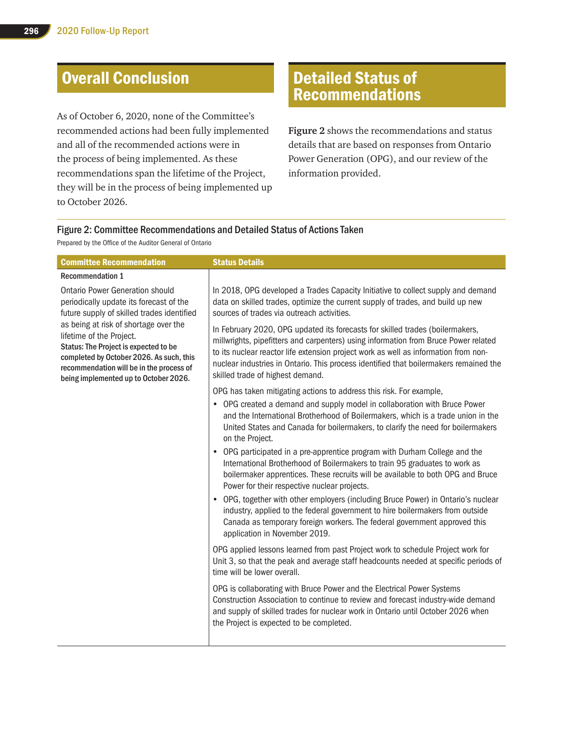### Overall Conclusion

As of October 6, 2020, none of the Committee's recommended actions had been fully implemented and all of the recommended actions were in the process of being implemented. As these recommendations span the lifetime of the Project, they will be in the process of being implemented up to October 2026.

#### Detailed Status of Recommendations

**Figure 2** shows the recommendations and status details that are based on responses from Ontario Power Generation (OPG), and our review of the information provided.

#### Figure 2: Committee Recommendations and Detailed Status of Actions Taken

Prepared by the Office of the Auditor General of Ontario

| <b>Committee Recommendation</b>                                                                                                                                                                                                                                                                                                                                                | <b>Status Details</b>                                                                                                                                                                                                                                                                                                                                                                    |
|--------------------------------------------------------------------------------------------------------------------------------------------------------------------------------------------------------------------------------------------------------------------------------------------------------------------------------------------------------------------------------|------------------------------------------------------------------------------------------------------------------------------------------------------------------------------------------------------------------------------------------------------------------------------------------------------------------------------------------------------------------------------------------|
| <b>Recommendation 1</b>                                                                                                                                                                                                                                                                                                                                                        |                                                                                                                                                                                                                                                                                                                                                                                          |
| <b>Ontario Power Generation should</b><br>periodically update its forecast of the<br>future supply of skilled trades identified<br>as being at risk of shortage over the<br>lifetime of the Project.<br>Status: The Project is expected to be<br>completed by October 2026. As such, this<br>recommendation will be in the process of<br>being implemented up to October 2026. | In 2018, OPG developed a Trades Capacity Initiative to collect supply and demand<br>data on skilled trades, optimize the current supply of trades, and build up new<br>sources of trades via outreach activities.                                                                                                                                                                        |
|                                                                                                                                                                                                                                                                                                                                                                                | In February 2020, OPG updated its forecasts for skilled trades (boilermakers,<br>millwrights, pipefitters and carpenters) using information from Bruce Power related<br>to its nuclear reactor life extension project work as well as information from non-<br>nuclear industries in Ontario. This process identified that boilermakers remained the<br>skilled trade of highest demand. |
|                                                                                                                                                                                                                                                                                                                                                                                | OPG has taken mitigating actions to address this risk. For example,                                                                                                                                                                                                                                                                                                                      |
|                                                                                                                                                                                                                                                                                                                                                                                | • OPG created a demand and supply model in collaboration with Bruce Power<br>and the International Brotherhood of Boilermakers, which is a trade union in the<br>United States and Canada for boilermakers, to clarify the need for boilermakers<br>on the Project.                                                                                                                      |
|                                                                                                                                                                                                                                                                                                                                                                                | • OPG participated in a pre-apprentice program with Durham College and the<br>International Brotherhood of Boilermakers to train 95 graduates to work as<br>boilermaker apprentices. These recruits will be available to both OPG and Bruce<br>Power for their respective nuclear projects.                                                                                              |
|                                                                                                                                                                                                                                                                                                                                                                                | OPG, together with other employers (including Bruce Power) in Ontario's nuclear<br>$\bullet$<br>industry, applied to the federal government to hire boilermakers from outside<br>Canada as temporary foreign workers. The federal government approved this<br>application in November 2019.                                                                                              |
|                                                                                                                                                                                                                                                                                                                                                                                | OPG applied lessons learned from past Project work to schedule Project work for<br>Unit 3, so that the peak and average staff headcounts needed at specific periods of<br>time will be lower overall.                                                                                                                                                                                    |
|                                                                                                                                                                                                                                                                                                                                                                                | OPG is collaborating with Bruce Power and the Electrical Power Systems<br>Construction Association to continue to review and forecast industry-wide demand<br>and supply of skilled trades for nuclear work in Ontario until October 2026 when<br>the Project is expected to be completed.                                                                                               |
|                                                                                                                                                                                                                                                                                                                                                                                |                                                                                                                                                                                                                                                                                                                                                                                          |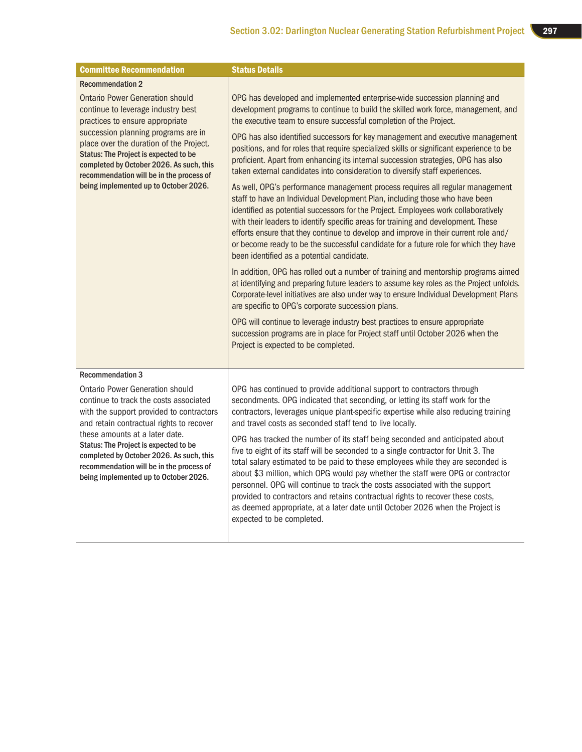| <b>Committee Recommendation</b>                                                                                                                                                                                                                                                                                                                                                      | <b>Status Details</b>                                                                                                                                                                                                                                                                                                                                                                                                                                                                                                                                                                                                   |
|--------------------------------------------------------------------------------------------------------------------------------------------------------------------------------------------------------------------------------------------------------------------------------------------------------------------------------------------------------------------------------------|-------------------------------------------------------------------------------------------------------------------------------------------------------------------------------------------------------------------------------------------------------------------------------------------------------------------------------------------------------------------------------------------------------------------------------------------------------------------------------------------------------------------------------------------------------------------------------------------------------------------------|
| <b>Recommendation 2</b>                                                                                                                                                                                                                                                                                                                                                              |                                                                                                                                                                                                                                                                                                                                                                                                                                                                                                                                                                                                                         |
| <b>Ontario Power Generation should</b><br>continue to leverage industry best<br>practices to ensure appropriate<br>succession planning programs are in<br>place over the duration of the Project.<br><b>Status: The Project is expected to be</b><br>completed by October 2026. As such, this                                                                                        | OPG has developed and implemented enterprise-wide succession planning and<br>development programs to continue to build the skilled work force, management, and<br>the executive team to ensure successful completion of the Project.                                                                                                                                                                                                                                                                                                                                                                                    |
|                                                                                                                                                                                                                                                                                                                                                                                      | OPG has also identified successors for key management and executive management<br>positions, and for roles that require specialized skills or significant experience to be<br>proficient. Apart from enhancing its internal succession strategies, OPG has also<br>taken external candidates into consideration to diversify staff experiences.                                                                                                                                                                                                                                                                         |
| recommendation will be in the process of<br>being implemented up to October 2026.                                                                                                                                                                                                                                                                                                    | As well, OPG's performance management process requires all regular management<br>staff to have an Individual Development Plan, including those who have been<br>identified as potential successors for the Project. Employees work collaboratively<br>with their leaders to identify specific areas for training and development. These<br>efforts ensure that they continue to develop and improve in their current role and/<br>or become ready to be the successful candidate for a future role for which they have<br>been identified as a potential candidate.                                                     |
|                                                                                                                                                                                                                                                                                                                                                                                      | In addition, OPG has rolled out a number of training and mentorship programs aimed<br>at identifying and preparing future leaders to assume key roles as the Project unfolds.<br>Corporate-level initiatives are also under way to ensure Individual Development Plans<br>are specific to OPG's corporate succession plans.                                                                                                                                                                                                                                                                                             |
|                                                                                                                                                                                                                                                                                                                                                                                      | OPG will continue to leverage industry best practices to ensure appropriate<br>succession programs are in place for Project staff until October 2026 when the<br>Project is expected to be completed.                                                                                                                                                                                                                                                                                                                                                                                                                   |
| <b>Recommendation 3</b>                                                                                                                                                                                                                                                                                                                                                              |                                                                                                                                                                                                                                                                                                                                                                                                                                                                                                                                                                                                                         |
| <b>Ontario Power Generation should</b><br>continue to track the costs associated<br>with the support provided to contractors<br>and retain contractual rights to recover<br>these amounts at a later date.<br>Status: The Project is expected to be<br>completed by October 2026. As such, this<br>recommendation will be in the process of<br>being implemented up to October 2026. | OPG has continued to provide additional support to contractors through<br>secondments. OPG indicated that seconding, or letting its staff work for the<br>contractors, leverages unique plant-specific expertise while also reducing training<br>and travel costs as seconded staff tend to live locally.                                                                                                                                                                                                                                                                                                               |
|                                                                                                                                                                                                                                                                                                                                                                                      | OPG has tracked the number of its staff being seconded and anticipated about<br>five to eight of its staff will be seconded to a single contractor for Unit 3. The<br>total salary estimated to be paid to these employees while they are seconded is<br>about \$3 million, which OPG would pay whether the staff were OPG or contractor<br>personnel. OPG will continue to track the costs associated with the support<br>provided to contractors and retains contractual rights to recover these costs,<br>as deemed appropriate, at a later date until October 2026 when the Project is<br>expected to be completed. |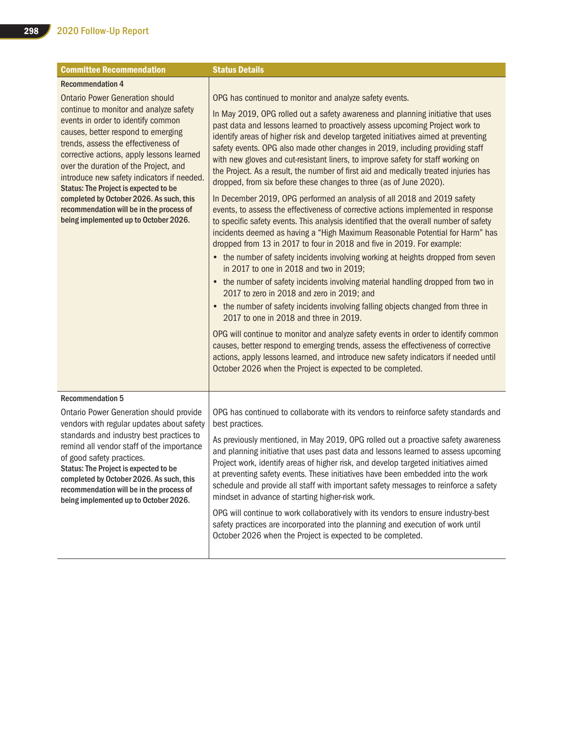| <b>Committee Recommendation</b>                                                                                                                                                                                                                                                                                                                                                                                                                                                                                          | <b>Status Details</b>                                                                                                                                                                                                                                                                                                                                                                                                                                                                                                                                                                     |
|--------------------------------------------------------------------------------------------------------------------------------------------------------------------------------------------------------------------------------------------------------------------------------------------------------------------------------------------------------------------------------------------------------------------------------------------------------------------------------------------------------------------------|-------------------------------------------------------------------------------------------------------------------------------------------------------------------------------------------------------------------------------------------------------------------------------------------------------------------------------------------------------------------------------------------------------------------------------------------------------------------------------------------------------------------------------------------------------------------------------------------|
| <b>Recommendation 4</b>                                                                                                                                                                                                                                                                                                                                                                                                                                                                                                  |                                                                                                                                                                                                                                                                                                                                                                                                                                                                                                                                                                                           |
| <b>Ontario Power Generation should</b><br>continue to monitor and analyze safety<br>events in order to identify common<br>causes, better respond to emerging<br>trends, assess the effectiveness of<br>corrective actions, apply lessons learned<br>over the duration of the Project, and<br>introduce new safety indicators if needed.<br><b>Status: The Project is expected to be</b><br>completed by October 2026. As such, this<br>recommendation will be in the process of<br>being implemented up to October 2026. | OPG has continued to monitor and analyze safety events.                                                                                                                                                                                                                                                                                                                                                                                                                                                                                                                                   |
|                                                                                                                                                                                                                                                                                                                                                                                                                                                                                                                          | In May 2019, OPG rolled out a safety awareness and planning initiative that uses<br>past data and lessons learned to proactively assess upcoming Project work to<br>identify areas of higher risk and develop targeted initiatives aimed at preventing<br>safety events. OPG also made other changes in 2019, including providing staff<br>with new gloves and cut-resistant liners, to improve safety for staff working on<br>the Project. As a result, the number of first aid and medically treated injuries has<br>dropped, from six before these changes to three (as of June 2020). |
|                                                                                                                                                                                                                                                                                                                                                                                                                                                                                                                          | In December 2019, OPG performed an analysis of all 2018 and 2019 safety<br>events, to assess the effectiveness of corrective actions implemented in response<br>to specific safety events. This analysis identified that the overall number of safety<br>incidents deemed as having a "High Maximum Reasonable Potential for Harm" has<br>dropped from 13 in 2017 to four in 2018 and five in 2019. For example:<br>• the number of safety incidents involving working at heights dropped from seven                                                                                      |
|                                                                                                                                                                                                                                                                                                                                                                                                                                                                                                                          | in 2017 to one in 2018 and two in 2019;                                                                                                                                                                                                                                                                                                                                                                                                                                                                                                                                                   |
|                                                                                                                                                                                                                                                                                                                                                                                                                                                                                                                          | • the number of safety incidents involving material handling dropped from two in<br>2017 to zero in 2018 and zero in 2019; and                                                                                                                                                                                                                                                                                                                                                                                                                                                            |
|                                                                                                                                                                                                                                                                                                                                                                                                                                                                                                                          | • the number of safety incidents involving falling objects changed from three in<br>2017 to one in 2018 and three in 2019.                                                                                                                                                                                                                                                                                                                                                                                                                                                                |
|                                                                                                                                                                                                                                                                                                                                                                                                                                                                                                                          | OPG will continue to monitor and analyze safety events in order to identify common<br>causes, better respond to emerging trends, assess the effectiveness of corrective<br>actions, apply lessons learned, and introduce new safety indicators if needed until<br>October 2026 when the Project is expected to be completed.                                                                                                                                                                                                                                                              |
| <b>Recommendation 5</b>                                                                                                                                                                                                                                                                                                                                                                                                                                                                                                  |                                                                                                                                                                                                                                                                                                                                                                                                                                                                                                                                                                                           |
| Ontario Power Generation should provide<br>vendors with regular updates about safety                                                                                                                                                                                                                                                                                                                                                                                                                                     | OPG has continued to collaborate with its vendors to reinforce safety standards and<br>best practices.                                                                                                                                                                                                                                                                                                                                                                                                                                                                                    |
| standards and industry best practices to<br>remind all vendor staff of the importance<br>of good safety practices.<br>Status: The Project is expected to be<br>completed by October 2026. As such, this<br>recommendation will be in the process of<br>being implemented up to October 2026.                                                                                                                                                                                                                             | As previously mentioned, in May 2019, OPG rolled out a proactive safety awareness<br>and planning initiative that uses past data and lessons learned to assess upcoming<br>Project work, identify areas of higher risk, and develop targeted initiatives aimed<br>at preventing safety events. These initiatives have been embedded into the work<br>schedule and provide all staff with important safety messages to reinforce a safety<br>mindset in advance of starting higher-risk work.                                                                                              |
|                                                                                                                                                                                                                                                                                                                                                                                                                                                                                                                          | OPG will continue to work collaboratively with its vendors to ensure industry-best<br>safety practices are incorporated into the planning and execution of work until<br>October 2026 when the Project is expected to be completed.                                                                                                                                                                                                                                                                                                                                                       |